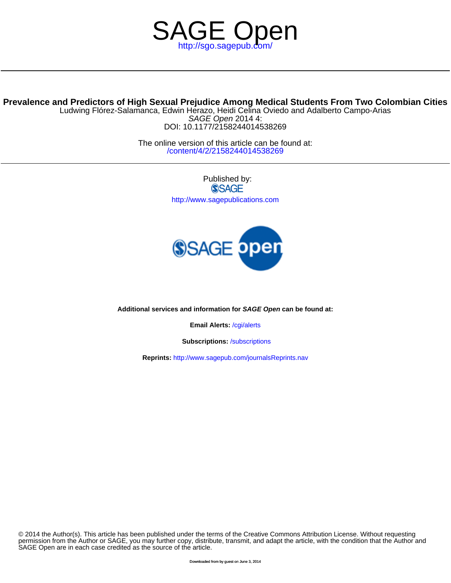

# **Prevalence and Predictors of High Sexual Prejudice Among Medical Students From Two Colombian Cities**

DOI: 10.1177/2158244014538269 SAGE Open 2014 4: Ludwing Flórez-Salamanca, Edwin Herazo, Heidi Celina Oviedo and Adalberto Campo-Arias

> /content/4/2/2158244014538269 The online version of this article can be found at:

> > Published by: **SSAGE** <http://www.sagepublications.com>



**Additional services and information for SAGE Open can be found at:**

**Email Alerts:** /cgi/alerts

**Subscriptions:** /subscriptions

**Reprints:** <http://www.sagepub.com/journalsReprints.nav>

SAGE Open are in each case credited as the source of the article. permission from the Author or SAGE, you may further copy, distribute, transmit, and adapt the article, with the condition that the Author and © 2014 the Author(s). This article has been published under the terms of the Creative Commons Attribution License. Without requesting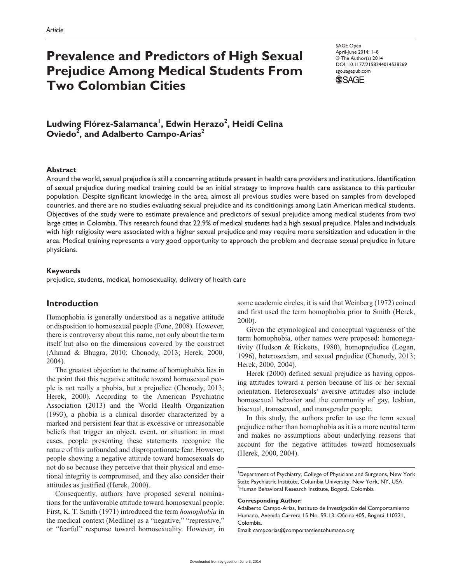# **Prevalence and Predictors of High Sexual Prejudice Among Medical Students From Two Colombian Cities**

SAGE Open April-June 2014: 1–8 © The Author(s) 2014 DOI: 10.1177/2158244014538269 sgo.sagepub.com



**Ludwing Flórez-Salamanca1 , Edwin Herazo2 , Heidi Celina**   $Oviedo^{\bar{2}}$ , and Adalberto Campo-Arias<sup>2</sup>

# **Abstract**

Around the world, sexual prejudice is still a concerning attitude present in health care providers and institutions. Identification of sexual prejudice during medical training could be an initial strategy to improve health care assistance to this particular population. Despite significant knowledge in the area, almost all previous studies were based on samples from developed countries, and there are no studies evaluating sexual prejudice and its conditionings among Latin American medical students. Objectives of the study were to estimate prevalence and predictors of sexual prejudice among medical students from two large cities in Colombia. This research found that 22.9% of medical students had a high sexual prejudice. Males and individuals with high religiosity were associated with a higher sexual prejudice and may require more sensitization and education in the area. Medical training represents a very good opportunity to approach the problem and decrease sexual prejudice in future physicians.

# **Keywords**

prejudice, students, medical, homosexuality, delivery of health care

# **Introduction**

Homophobia is generally understood as a negative attitude or disposition to homosexual people (Fone, 2008). However, there is controversy about this name, not only about the term itself but also on the dimensions covered by the construct (Ahmad & Bhugra, 2010; Chonody, 2013; Herek, 2000, 2004).

The greatest objection to the name of homophobia lies in the point that this negative attitude toward homosexual people is not really a phobia, but a prejudice (Chonody, 2013; Herek, 2000). According to the American Psychiatric Association (2013) and the World Health Organization (1993), a phobia is a clinical disorder characterized by a marked and persistent fear that is excessive or unreasonable beliefs that trigger an object, event, or situation; in most cases, people presenting these statements recognize the nature of this unfounded and disproportionate fear. However, people showing a negative attitude toward homosexuals do not do so because they perceive that their physical and emotional integrity is compromised, and they also consider their attitudes as justified (Herek, 2000).

Consequently, authors have proposed several nominations for the unfavorable attitude toward homosexual people. First, K. T. Smith (1971) introduced the term *homophobia* in the medical context (Medline) as a "negative," "repressive," or "fearful" response toward homosexuality. However, in some academic circles, it is said that Weinberg (1972) coined and first used the term homophobia prior to Smith (Herek, 2000).

Given the etymological and conceptual vagueness of the term homophobia, other names were proposed: homonegativity (Hudson & Ricketts, 1980), homoprejudice (Logan, 1996), heterosexism, and sexual prejudice (Chonody, 2013; Herek, 2000, 2004).

Herek (2000) defined sexual prejudice as having opposing attitudes toward a person because of his or her sexual orientation. Heterosexuals' aversive attitudes also include homosexual behavior and the community of gay, lesbian, bisexual, transsexual, and transgender people.

In this study, the authors prefer to use the term sexual prejudice rather than homophobia as it is a more neutral term and makes no assumptions about underlying reasons that account for the negative attitudes toward homosexuals (Herek, 2000, 2004).

<sup>1</sup>Department of Psychiatry, College of Physicians and Surgeons, New York State Psychiatric Institute, Columbia University, New York, NY, USA. <sup>2</sup>Human Behavioral Research Institute, Bogotá, Colombia

#### **Corresponding Author:**

Adalberto Campo-Arias, Instituto de Investigación del Comportamiento Humano, Avenida Carrera 15 No. 99-13, Oficina 405, Bogotá 110221, Colombia.

Email: [campoarias@comportamientohumano.org](mailto:campoarias@comportamientohumano.org)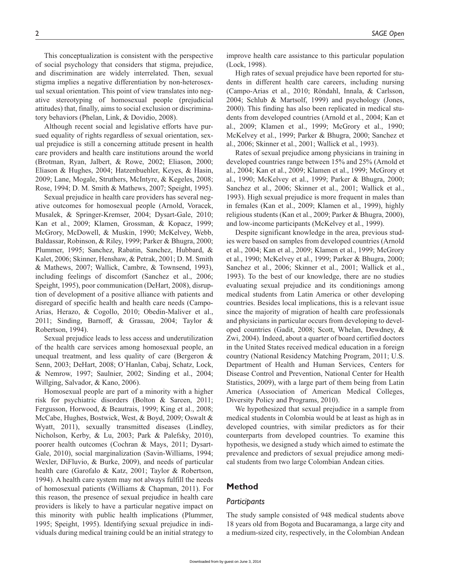This conceptualization is consistent with the perspective of social psychology that considers that stigma, prejudice, and discrimination are widely interrelated. Then, sexual stigma implies a negative differentiation by non-heterosexual sexual orientation. This point of view translates into negative stereotyping of homosexual people (prejudicial attitudes) that, finally, aims to social exclusion or discriminatory behaviors (Phelan, Link, & Dovidio, 2008).

Although recent social and legislative efforts have pursued equality of rights regardless of sexual orientation, sexual prejudice is still a concerning attitude present in health care providers and health care institutions around the world (Brotman, Ryan, Jalbert, & Rowe, 2002; Eliason, 2000; Eliason & Hughes, 2004; Hatzenbuehler, Keyes, & Hasin, 2009; Lane, Mogale, Struthers, McIntyre, & Kegeles, 2008; Rose, 1994; D. M. Smith & Mathews, 2007; Speight, 1995).

Sexual prejudice in health care providers has several negative outcomes for homosexual people (Arnold, Voracek, Musalek, & Springer-Kremser, 2004; Dysart-Gale, 2010; Kan et al., 2009; Klamen, Grossman, & Kopacz, 1999; McGrory, McDowell, & Muskin, 1990; McKelvey, Webb, Baldassar, Robinson, & Riley, 1999; Parker & Bhugra, 2000; Plummer, 1995; Sanchez, Rabatin, Sanchez, Hubbard, & Kalet, 2006; Skinner, Henshaw, & Petrak, 2001; D. M. Smith & Mathews, 2007; Wallick, Cambre, & Townsend, 1993), including feelings of discomfort (Sanchez et al., 2006; Speight, 1995), poor communication (DeHart, 2008), disruption of development of a positive alliance with patients and disregard of specific health and health care needs (Campo-Arias, Herazo, & Cogollo, 2010; Obedin-Maliver et al., 2011; Sinding, Barnoff, & Grassau, 2004; Taylor & Robertson, 1994).

Sexual prejudice leads to less access and underutilization of the health care services among homosexual people, an unequal treatment, and less quality of care (Bergeron & Senn, 2003; DeHart, 2008; O'Hanlan, Cabaj, Schatz, Lock, & Nemrow, 1997; Saulnier, 2002; Sinding et al., 2004; Willging, Salvador, & Kano, 2006).

Homosexual people are part of a minority with a higher risk for psychiatric disorders (Bolton & Sareen, 2011; Fergusson, Horwood, & Beautrais, 1999; King et al., 2008; McCabe, Hughes, Bostwick, West, & Boyd, 2009; Oswalt & Wyatt, 2011), sexually transmitted diseases (Lindley, Nicholson, Kerby, & Lu, 2003; Park & Palefsky, 2010), poorer health outcomes (Cochran & Mays, 2011; Dysart-Gale, 2010), social marginalization (Savin-Williams, 1994; Wexler, DiFluvio, & Burke, 2009), and needs of particular health care (Garofalo & Katz, 2001; Taylor & Robertson, 1994). A health care system may not always fulfill the needs of homosexual patients (Williams & Chapman, 2011). For this reason, the presence of sexual prejudice in health care providers is likely to have a particular negative impact on this minority with public health implications (Plummer, 1995; Speight, 1995). Identifying sexual prejudice in individuals during medical training could be an initial strategy to

improve health care assistance to this particular population (Lock, 1998).

High rates of sexual prejudice have been reported for students in different health care careers, including nursing (Campo-Arias et al., 2010; Röndahl, Innala, & Carlsson, 2004; Schlub & Martsolf, 1999) and psychology (Jones, 2000). This finding has also been replicated in medical students from developed countries (Arnold et al., 2004; Kan et al., 2009; Klamen et al., 1999; McGrory et al., 1990; McKelvey et al., 1999; Parker & Bhugra, 2000; Sanchez et al., 2006; Skinner et al., 2001; Wallick et al., 1993).

Rates of sexual prejudice among physicians in training in developed countries range between 15% and 25% (Arnold et al., 2004; Kan et al., 2009; Klamen et al., 1999; McGrory et al., 1990; McKelvey et al., 1999; Parker & Bhugra, 2000; Sanchez et al., 2006; Skinner et al., 2001; Wallick et al., 1993). High sexual prejudice is more frequent in males than in females (Kan et al., 2009; Klamen et al., 1999), highly religious students (Kan et al., 2009; Parker & Bhugra, 2000), and low-income participants (McKelvey et al., 1999).

Despite significant knowledge in the area, previous studies were based on samples from developed countries (Arnold et al., 2004; Kan et al., 2009; Klamen et al., 1999; McGrory et al., 1990; McKelvey et al., 1999; Parker & Bhugra, 2000; Sanchez et al., 2006; Skinner et al., 2001; Wallick et al., 1993). To the best of our knowledge, there are no studies evaluating sexual prejudice and its conditionings among medical students from Latin America or other developing countries. Besides local implications, this is a relevant issue since the majority of migration of health care professionals and physicians in particular occurs from developing to developed countries (Gadit, 2008; Scott, Whelan, Dewdney, & Zwi, 2004). Indeed, about a quarter of board certified doctors in the United States received medical education in a foreign country (National Residency Matching Program, 2011; U.S. Department of Health and Human Services, Centers for Disease Control and Prevention, National Center for Health Statistics, 2009), with a large part of them being from Latin America (Association of American Medical Colleges, Diversity Policy and Programs, 2010).

We hypothesized that sexual prejudice in a sample from medical students in Colombia would be at least as high as in developed countries, with similar predictors as for their counterparts from developed countries. To examine this hypothesis, we designed a study which aimed to estimate the prevalence and predictors of sexual prejudice among medical students from two large Colombian Andean cities.

#### **Method**

#### *Participants*

The study sample consisted of 948 medical students above 18 years old from Bogota and Bucaramanga, a large city and a medium-sized city, respectively, in the Colombian Andean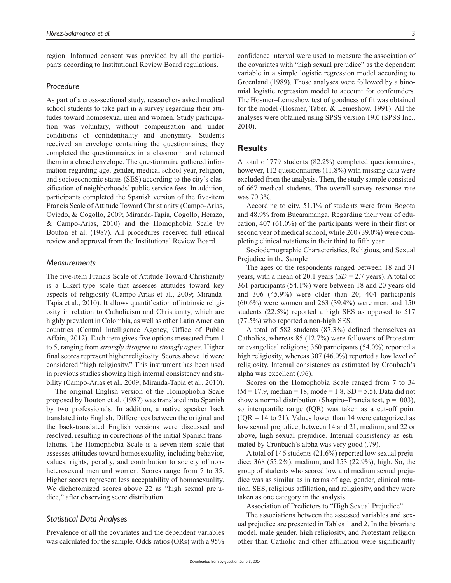region. Informed consent was provided by all the participants according to Institutional Review Board regulations.

#### *Procedure*

As part of a cross-sectional study, researchers asked medical school students to take part in a survey regarding their attitudes toward homosexual men and women. Study participation was voluntary, without compensation and under conditions of confidentiality and anonymity. Students received an envelope containing the questionnaires; they completed the questionnaires in a classroom and returned them in a closed envelope. The questionnaire gathered information regarding age, gender, medical school year, religion, and socioeconomic status (SES) according to the city's classification of neighborhoods' public service fees. In addition, participants completed the Spanish version of the five-item Francis Scale of Attitude Toward Christianity (Campo-Arias, Oviedo, & Cogollo, 2009; Miranda-Tapia, Cogollo, Herazo, & Campo-Arias, 2010) and the Homophobia Scale by Bouton et al. (1987). All procedures received full ethical review and approval from the Institutional Review Board.

## *Measurements*

The five-item Francis Scale of Attitude Toward Christianity is a Likert-type scale that assesses attitudes toward key aspects of religiosity (Campo-Arias et al., 2009; Miranda-Tapia et al., 2010). It allows quantification of intrinsic religiosity in relation to Catholicism and Christianity, which are highly prevalent in Colombia, as well as other Latin American countries (Central Intelligence Agency, Office of Public Affairs, 2012). Each item gives five options measured from 1 to 5, ranging from *strongly disagree* to *strongly agree*. Higher final scores represent higher religiosity. Scores above 16 were considered "high religiosity." This instrument has been used in previous studies showing high internal consistency and stability (Campo-Arias et al., 2009; Miranda-Tapia et al., 2010).

The original English version of the Homophobia Scale proposed by Bouton et al. (1987) was translated into Spanish by two professionals. In addition, a native speaker back translated into English. Differences between the original and the back-translated English versions were discussed and resolved, resulting in corrections of the initial Spanish translations. The Homophobia Scale is a seven-item scale that assesses attitudes toward homosexuality, including behavior, values, rights, penalty, and contribution to society of nonheterosexual men and women. Scores range from 7 to 35. Higher scores represent less acceptability of homosexuality. We dichotomized scores above 22 as "high sexual prejudice," after observing score distribution.

## *Statistical Data Analyses*

Prevalence of all the covariates and the dependent variables was calculated for the sample. Odds ratios (ORs) with a 95%

confidence interval were used to measure the association of the covariates with "high sexual prejudice" as the dependent variable in a simple logistic regression model according to Greenland (1989). Those analyses were followed by a binomial logistic regression model to account for confounders. The Hosmer–Lemeshow test of goodness of fit was obtained for the model (Hosmer, Taber, & Lemeshow, 1991). All the analyses were obtained using SPSS version 19.0 (SPSS Inc., 2010).

# **Results**

A total of 779 students (82.2%) completed questionnaires; however, 112 questionnaires (11.8%) with missing data were excluded from the analysis. Then, the study sample consisted of 667 medical students. The overall survey response rate was 70.3%.

According to city, 51.1% of students were from Bogota and 48.9% from Bucaramanga. Regarding their year of education, 407 (61.0%) of the participants were in their first or second year of medical school, while 260 (39.0%) were completing clinical rotations in their third to fifth year.

Sociodemographic Characteristics, Religious, and Sexual Prejudice in the Sample

The ages of the respondents ranged between 18 and 31 years, with a mean of 20.1 years (*SD* = 2.7 years). A total of 361 participants (54.1%) were between 18 and 20 years old and 306 (45.9%) were older than 20; 404 participants (60.6%) were women and 263 (39.4%) were men; and 150 students (22.5%) reported a high SES as opposed to 517 (77.5%) who reported a non-high SES.

A total of 582 students (87.3%) defined themselves as Catholics, whereas 85 (12.7%) were followers of Protestant or evangelical religions; 360 participants (54.0%) reported a high religiosity, whereas 307 (46.0%) reported a low level of religiosity. Internal consistency as estimated by Cronbach's alpha was excellent (.96).

Scores on the Homophobia Scale ranged from 7 to 34  $(M = 17.9, \text{ median} = 18, \text{mode} = 18, SD = 5.5)$ . Data did not show a normal distribution (Shapiro–Francia test,  $p = .003$ ), so interquartile range (IQR) was taken as a cut-off point  $(IOR = 14$  to 21). Values lower than 14 were categorized as low sexual prejudice; between 14 and 21, medium; and 22 or above, high sexual prejudice. Internal consistency as estimated by Cronbach's alpha was very good (.79).

A total of 146 students (21.6%) reported low sexual prejudice; 368 (55.2%), medium; and 153 (22.9%), high. So, the group of students who scored low and medium sexual prejudice was as similar as in terms of age, gender, clinical rotation, SES, religious affiliation, and religiosity, and they were taken as one category in the analysis.

Association of Predictors to "High Sexual Prejudice"

The associations between the assessed variables and sexual prejudice are presented in Tables 1 and 2. In the bivariate model, male gender, high religiosity, and Protestant religion other than Catholic and other affiliation were significantly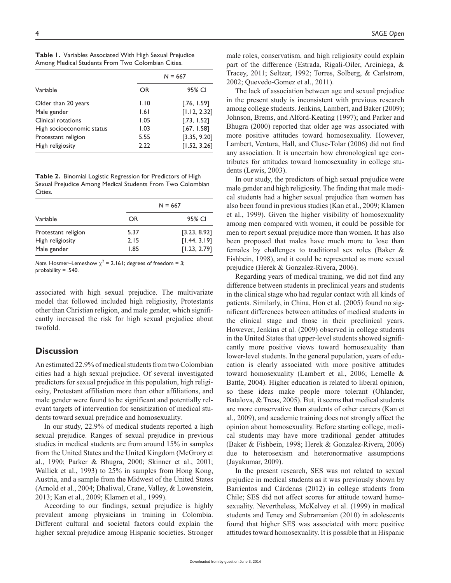| Variable                  | $N = 667$ |              |
|---------------------------|-----------|--------------|
|                           | OR        | 95% CI       |
| Older than 20 years       | 1.10      | [.76, 1.59]  |
| Male gender               | 1.61      | [1.12, 2.32] |
| Clinical rotations        | 1.05      | [.73, 1.52]  |
| High socioeconomic status | 1.03      | [.67, 1.58]  |

Protestant religion 65.55 [3.35, 9.20] High religiosity **2.22** [1.52, 3.26]

**Table 1.** Variables Associated With High Sexual Prejudice Among Medical Students From Two Colombian Cities.

**Table 2.** Binomial Logistic Regression for Predictors of High Sexual Prejudice Among Medical Students From Two Colombian Cities.

| Variable            | $N = 667$ |              |
|---------------------|-----------|--------------|
|                     | OR        | 95% CI       |
| Protestant religion | 5.37      | [3.23, 8.92] |
| High religiosity    | 2.15      | [1.44, 3.19] |
| Male gender         | 1.85      | [1.23, 2.79] |

*Note.* Hosmer–Lemeshow  $\chi^2$  = 2.161; degrees of freedom = 3; probability = .540.

associated with high sexual prejudice. The multivariate model that followed included high religiosity, Protestants other than Christian religion, and male gender, which significantly increased the risk for high sexual prejudice about twofold.

# **Discussion**

An estimated 22.9% of medical students from two Colombian cities had a high sexual prejudice. Of several investigated predictors for sexual prejudice in this population, high religiosity, Protestant affiliation more than other affiliations, and male gender were found to be significant and potentially relevant targets of intervention for sensitization of medical students toward sexual prejudice and homosexuality.

In our study, 22.9% of medical students reported a high sexual prejudice. Ranges of sexual prejudice in previous studies in medical students are from around 15% in samples from the United States and the United Kingdom (McGrory et al., 1990; Parker & Bhugra, 2000; Skinner et al., 2001; Wallick et al., 1993) to 25% in samples from Hong Kong, Austria, and a sample from the Midwest of the United States (Arnold et al., 2004; Dhaliwal, Crane, Valley, & Lowenstein, 2013; Kan et al., 2009; Klamen et al., 1999).

According to our findings, sexual prejudice is highly prevalent among physicians in training in Colombia. Different cultural and societal factors could explain the higher sexual prejudice among Hispanic societies. Stronger

male roles, conservatism, and high religiosity could explain part of the difference (Estrada, Rigali-Oiler, Arciniega, & Tracey, 2011; Seltzer, 1992; Torres, Solberg, & Carlstrom, 2002; Quevedo-Gomez et al., 2011).

The lack of association between age and sexual prejudice in the present study is inconsistent with previous research among college students. Jenkins, Lambert, and Baker (2009); Johnson, Brems, and Alford-Keating (1997); and Parker and Bhugra (2000) reported that older age was associated with more positive attitudes toward homosexuality. However, Lambert, Ventura, Hall, and Cluse-Tolar (2006) did not find any association. It is uncertain how chronological age contributes for attitudes toward homosexuality in college students (Lewis, 2003).

In our study, the predictors of high sexual prejudice were male gender and high religiosity. The finding that male medical students had a higher sexual prejudice than women has also been found in previous studies (Kan et al., 2009; Klamen et al., 1999). Given the higher visibility of homosexuality among men compared with women, it could be possible for men to report sexual prejudice more than women. It has also been proposed that males have much more to lose than females by challenges to traditional sex roles (Baker & Fishbein, 1998), and it could be represented as more sexual prejudice (Herek & Gonzalez-Rivera, 2006).

Regarding years of medical training, we did not find any difference between students in preclinical years and students in the clinical stage who had regular contact with all kinds of patients. Similarly, in China, Hon et al. (2005) found no significant differences between attitudes of medical students in the clinical stage and those in their preclinical years. However, Jenkins et al. (2009) observed in college students in the United States that upper-level students showed significantly more positive views toward homosexuality than lower-level students. In the general population, years of education is clearly associated with more positive attitudes toward homosexuality (Lambert et al., 2006; Lemelle & Battle, 2004). Higher education is related to liberal opinion, so these ideas make people more tolerant (Ohlander, Batalova, & Treas, 2005). But, it seems that medical students are more conservative than students of other careers (Kan et al., 2009), and academic training does not strongly affect the opinion about homosexuality. Before starting college, medical students may have more traditional gender attitudes (Baker & Fishbein, 1998; Herek & Gonzalez-Rivera, 2006) due to heterosexism and heteronormative assumptions (Jayakumar, 2009).

In the present research, SES was not related to sexual prejudice in medical students as it was previously shown by Barrientos and Cárdenas (2012) in college students from Chile; SES did not affect scores for attitude toward homosexuality. Nevertheless, McKelvey et al. (1999) in medical students and Teney and Subramanian (2010) in adolescents found that higher SES was associated with more positive attitudes toward homosexuality. It is possible that in Hispanic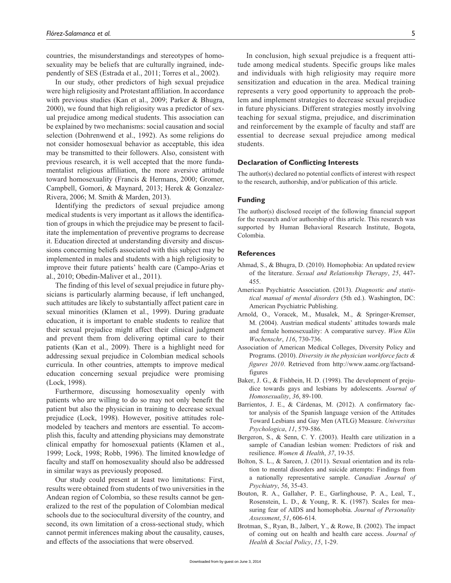countries, the misunderstandings and stereotypes of homosexuality may be beliefs that are culturally ingrained, independently of SES (Estrada et al., 2011; Torres et al., 2002).

In our study, other predictors of high sexual prejudice were high religiosity and Protestant affiliation. In accordance with previous studies (Kan et al., 2009; Parker & Bhugra, 2000), we found that high religiosity was a predictor of sexual prejudice among medical students. This association can be explained by two mechanisms: social causation and social selection (Dohrenwend et al., 1992). As some religions do not consider homosexual behavior as acceptable, this idea may be transmitted to their followers. Also, consistent with previous research, it is well accepted that the more fundamentalist religious affiliation, the more aversive attitude toward homosexuality (Francis & Hermans, 2000; Gromer, Campbell, Gomori, & Maynard, 2013; Herek & Gonzalez-Rivera, 2006; M. Smith & Marden, 2013).

Identifying the predictors of sexual prejudice among medical students is very important as it allows the identification of groups in which the prejudice may be present to facilitate the implementation of preventive programs to decrease it. Education directed at understanding diversity and discussions concerning beliefs associated with this subject may be implemented in males and students with a high religiosity to improve their future patients' health care (Campo-Arias et al., 2010; Obedin-Maliver et al., 2011).

The finding of this level of sexual prejudice in future physicians is particularly alarming because, if left unchanged, such attitudes are likely to substantially affect patient care in sexual minorities (Klamen et al., 1999). During graduate education, it is important to enable students to realize that their sexual prejudice might affect their clinical judgment and prevent them from delivering optimal care to their patients (Kan et al., 2009). There is a highlight need for addressing sexual prejudice in Colombian medical schools curricula. In other countries, attempts to improve medical education concerning sexual prejudice were promising (Lock, 1998).

Furthermore, discussing homosexuality openly with patients who are willing to do so may not only benefit the patient but also the physician in training to decrease sexual prejudice (Lock, 1998). However, positive attitudes rolemodeled by teachers and mentors are essential. To accomplish this, faculty and attending physicians may demonstrate clinical empathy for homosexual patients (Klamen et al., 1999; Lock, 1998; Robb, 1996). The limited knowledge of faculty and staff on homosexuality should also be addressed in similar ways as previously proposed.

Our study could present at least two limitations: First, results were obtained from students of two universities in the Andean region of Colombia, so these results cannot be generalized to the rest of the population of Colombian medical schools due to the sociocultural diversity of the country, and second, its own limitation of a cross-sectional study, which cannot permit inferences making about the causality, causes, and effects of the associations that were observed.

In conclusion, high sexual prejudice is a frequent attitude among medical students. Specific groups like males and individuals with high religiosity may require more sensitization and education in the area. Medical training represents a very good opportunity to approach the problem and implement strategies to decrease sexual prejudice in future physicians. Different strategies mostly involving teaching for sexual stigma, prejudice, and discrimination and reinforcement by the example of faculty and staff are essential to decrease sexual prejudice among medical students.

#### **Declaration of Conflicting Interests**

The author(s) declared no potential conflicts of interest with respect to the research, authorship, and/or publication of this article.

#### **Funding**

The author(s) disclosed receipt of the following financial support for the research and/or authorship of this article. This research was supported by Human Behavioral Research Institute, Bogota, Colombia.

#### **References**

- Ahmad, S., & Bhugra, D. (2010). Homophobia: An updated review of the literature. *Sexual and Relationship Therapy*, *25*, 447- 455.
- American Psychiatric Association. (2013). *Diagnostic and statistical manual of mental disorders* (5th ed.). Washington, DC: American Psychiatric Publishing.
- Arnold, O., Voracek, M., Musalek, M., & Springer-Kremser, M. (2004). Austrian medical students' attitudes towards male and female homosexuality: A comparative survey. *Wien Klin Wochenschr*, *116*, 730-736.
- Association of American Medical Colleges, Diversity Policy and Programs. (2010). *Diversity in the physician workforce facts & figures 2010*. Retrieved from [http://www.aamc.org/factsand](http://www.aamc.org/factsand-figures)[figures](http://www.aamc.org/factsand-figures)
- Baker, J. G., & Fishbein, H. D. (1998). The development of prejudice towards gays and lesbians by adolescents. *Journal of Homosexuality*, *36*, 89-100.
- Barrientos, J. E., & Cárdenas, M. (2012). A confirmatory factor analysis of the Spanish language version of the Attitudes Toward Lesbians and Gay Men (ATLG) Measure. *Universitas Psychologica*, *11*, 579-586.
- Bergeron, S., & Senn, C. Y. (2003). Health care utilization in a sample of Canadian lesbian women: Predictors of risk and resilience. *Women & Health*, *37*, 19-35.
- Bolton, S. L., & Sareen, J. (2011). Sexual orientation and its relation to mental disorders and suicide attempts: Findings from a nationally representative sample. *Canadian Journal of Psychiatry*, *56*, 35-43.
- Bouton, R. A., Gallaher, P. E., Garlinghouse, P. A., Leal, T., Rosenstein, L. D., & Young, R. K. (1987). Scales for measuring fear of AIDS and homophobia. *Journal of Personality Assessment*, *51*, 606-614.
- Brotman, S., Ryan, B., Jalbert, Y., & Rowe, B. (2002). The impact of coming out on health and health care access. *Journal of Health & Social Policy*, *15*, 1-29.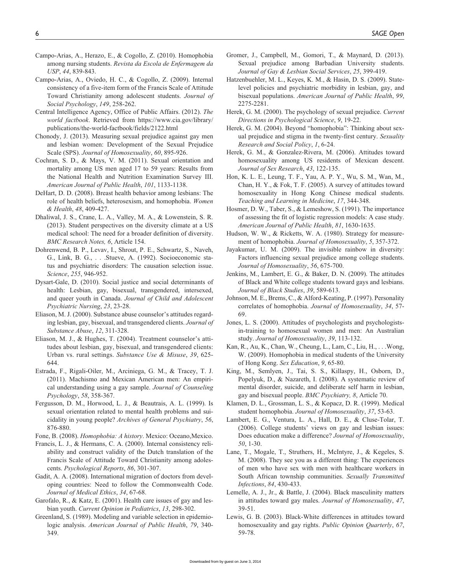- Campo-Arias, A., Herazo, E., & Cogollo, Z. (2010). Homophobia among nursing students. *Revista da Escola de Enfermagem da USP*, *44*, 839-843.
- Campo-Arias, A., Oviedo, H. C., & Cogollo, Z. (2009). Internal consistency of a five-item form of the Francis Scale of Attitude Toward Christianity among adolescent students. *Journal of Social Psychology*, *149*, 258-262.
- Central Intelligence Agency, Office of Public Affairs. (2012). *The world factbook*. Retrieved from [https://www.cia.gov/library/](https://www.cia.gov/library/publications/the-world-factbook/fields/2122.html) [publications/the-world-factbook/fields/2122.html](https://www.cia.gov/library/publications/the-world-factbook/fields/2122.html)
- Chonody, J. (2013). Measuring sexual prejudice against gay men and lesbian women: Development of the Sexual Prejudice Scale (SPS). *Journal of Homosexuality*, *60*, 895-926.
- Cochran, S. D., & Mays, V. M. (2011). Sexual orientation and mortality among US men aged 17 to 59 years: Results from the National Health and Nutrition Examination Survey III. *American Journal of Public Health*, *101*, 1133-1138.
- DeHart, D. D. (2008). Breast health behavior among lesbians: The role of health beliefs, heterosexism, and homophobia. *Women & Health*, *48*, 409-427.
- Dhaliwal, J. S., Crane, L. A., Valley, M. A., & Lowenstein, S. R. (2013). Student perspectives on the diversity climate at a US medical school: The need for a broader definition of diversity. *BMC Research Notes, 6*, Article 154.
- Dohrenwend, B. P., Levav, I., Shrout, P. E., Schwartz, S., Naveh, G., Link, B. G., . . .Stueve, A. (1992). Socioeconomic status and psychiatric disorders: The causation selection issue. *Science*, *255*, 946-952.
- Dysart-Gale, D. (2010). Social justice and social determinants of health: Lesbian, gay, bisexual, transgendered, intersexed, and queer youth in Canada. *Journal of Child and Adolescent Psychiatric Nursing*, *23*, 23-28.
- Eliason, M. J. (2000). Substance abuse counselor's attitudes regarding lesbian, gay, bisexual, and transgendered clients. *Journal of Substance Abuse*, *12*, 311-328.
- Eliason, M. J., & Hughes, T. (2004). Treatment counselor's attitudes about lesbian, gay, bisexual, and transgendered clients: Urban vs. rural settings. *Substance Use & Misuse*, *39*, 625- 644.
- Estrada, F., Rigali-Oiler, M., Arciniega, G. M., & Tracey, T. J. (2011). Machismo and Mexican American men: An empirical understanding using a gay sample. *Journal of Counseling Psychology*, *58*, 358-367.
- Fergusson, D. M., Horwood, L. J., & Beautrais, A. L. (1999). Is sexual orientation related to mental health problems and suicidality in young people? *Archives of General Psychiatry*, *56*, 876-880.

Fone, B. (2008). *Homophobia: A history*. Mexico: Oceano,Mexico.

- Francis, L. J., & Hermans, C. A. (2000). Internal consistency reliability and construct validity of the Dutch translation of the Francis Scale of Attitude Toward Christianity among adolescents. *Psychological Reports*, *86*, 301-307.
- Gadit, A. A. (2008). International migration of doctors from developing countries: Need to follow the Commonwealth Code. *Journal of Medical Ethics*, *34*, 67-68.
- Garofalo, R., & Katz, E. (2001). Health care issues of gay and lesbian youth. *Current Opinion in Pediatrics*, *13*, 298-302.
- Greenland, S. (1989). Modeling and variable selection in epidemiologic analysis. *American Journal of Public Health*, *79*, 340- 349.
- Gromer, J., Campbell, M., Gomori, T., & Maynard, D. (2013). Sexual prejudice among Barbadian University students. *Journal of Gay & Lesbian Social Services*, *25*, 399-419.
- Hatzenbuehler, M. L., Keyes, K. M., & Hasin, D. S. (2009). Statelevel policies and psychiatric morbidity in lesbian, gay, and bisexual populations. *American Journal of Public Health*, *99*, 2275-2281.
- Herek, G. M. (2000). The psychology of sexual prejudice. *Current Directions in Psychological Science*, *9*, 19-22.
- Herek, G. M. (2004). Beyond "homophobia": Thinking about sexual prejudice and stigma in the twenty-first century. *Sexuality Research and Social Policy*, *1*, 6-24.
- Herek, G. M., & Gonzalez-Rivera, M. (2006). Attitudes toward homosexuality among US residents of Mexican descent. *Journal of Sex Research*, *43*, 122-135.
- Hon, K. L. E., Leung, T. F., Yau, A. P. Y., Wu, S. M., Wan, M., Chan, H. Y., & Fok, T. F. (2005). A survey of attitudes toward homosexuality in Hong Kong Chinese medical students. *Teaching and Learning in Medicine*, *17*, 344-348.
- Hosmer, D. W., Taber, S., & Lemeshow, S. (1991). The importance of assessing the fit of logistic regression models: A case study. *American Journal of Public Health*, *81*, 1630-1635.
- Hudson, W. W., & Ricketts, W. A. (1980). Strategy for measurement of homophobia. *Journal of Homosexuality*, *5*, 357-372.
- Jayakumar, U. M. (2009). The invisible rainbow in diversity: Factors influencing sexual prejudice among college students. *Journal of Homosexuality*, *56*, 675-700.
- Jenkins, M., Lambert, E. G., & Baker, D. N. (2009). The attitudes of Black and White college students toward gays and lesbians. *Journal of Black Studies*, *39*, 589-613.
- Johnson, M. E., Brems, C., & Alford-Keating, P. (1997). Personality correlates of homophobia. *Journal of Homosexuality*, *34*, 57- 69.
- Jones, L. S. (2000). Attitudes of psychologists and psychologistsin-training to homosexual women and men: An Australian study. *Journal of Homosexuality*, *39*, 113-132.
- Kan, R., Au, K., Chan, W., Cheung, L., Lam, C., Liu, H., . . .Wong, W. (2009). Homophobia in medical students of the University of Hong Kong. *Sex Education*, *9*, 65-80.
- King, M., Semlyen, J., Tai, S. S., Killaspy, H., Osborn, D., Popelyuk, D., & Nazareth, I. (2008). A systematic review of mental disorder, suicide, and deliberate self harm in lesbian, gay and bisexual people. *BMC Psychiatry, 8*, Article 70.
- Klamen, D. L., Grossman, L. S., & Kopacz, D. R. (1999). Medical student homophobia. *Journal of Homosexuality*, *37*, 53-63.
- Lambert, E. G., Ventura, L. A., Hall, D. E., & Cluse-Tolar, T. (2006). College students' views on gay and lesbian issues: Does education make a difference? *Journal of Homosexuality*, *50*, 1-30.
- Lane, T., Mogale, T., Struthers, H., McIntyre, J., & Kegeles, S. M. (2008). They see you as a different thing: The experiences of men who have sex with men with healthcare workers in South African township communities. *Sexually Transmitted Infections*, *84*, 430-433.
- Lemelle, A. J., Jr., & Battle, J. (2004). Black masculinity matters in attitudes toward gay males. *Journal of Homosexuality*, *47*, 39-51.
- Lewis, G. B. (2003). Black-White differences in attitudes toward homosexuality and gay rights. *Public Opinion Quarterly*, *67*, 59-78.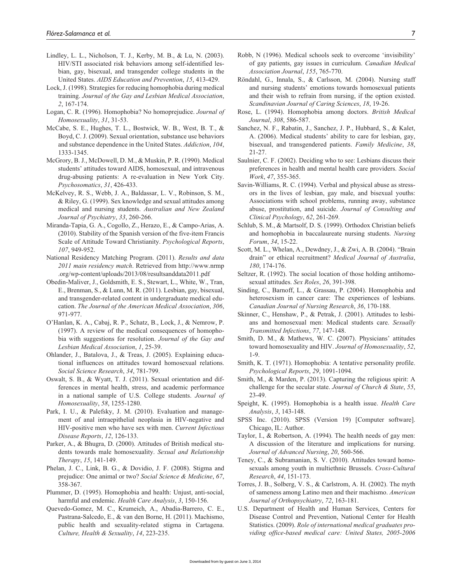- Lindley, L. L., Nicholson, T. J., Kerby, M. B., & Lu, N. (2003). HIV/STI associated risk behaviors among self-identified lesbian, gay, bisexual, and transgender college students in the United States. *AIDS Education and Prevention*, *15*, 413-429.
- Lock, J. (1998). Strategies for reducing homophobia during medical training. *Journal of the Gay and Lesbian Medical Association*, *2*, 167-174.
- Logan, C. R. (1996). Homophobia? No homoprejudice. *Journal of Homosexuality*, *31*, 31-53.
- McCabe, S. E., Hughes, T. L., Bostwick, W. B., West, B. T., & Boyd, C. J. (2009). Sexual orientation, substance use behaviors and substance dependence in the United States. *Addiction*, *104*, 1333-1345.
- McGrory, B. J., McDowell, D. M., & Muskin, P. R. (1990). Medical students' attitudes toward AIDS, homosexual, and intravenous drug-abusing patients: A re-evaluation in New York City. *Psychosomatics*, *31*, 426-433.
- McKelvey, R. S., Webb, J. A., Baldassar, L. V., Robinson, S. M., & Riley, G. (1999). Sex knowledge and sexual attitudes among medical and nursing students. *Australian and New Zealand Journal of Psychiatry*, *33*, 260-266.
- Miranda-Tapia, G. A., Cogollo, Z., Herazo, E., & Campo-Arias, A. (2010). Stability of the Spanish version of the five-item Francis Scale of Attitude Toward Christianity. *Psychological Reports*, *107*, 949-952.
- National Residency Matching Program. (2011). *Results and data 2011 main residency match*. Retrieved from [http://www.nrmp](http://www.nrmp.org/wp-content/uploads/2013/08/resultsanddata2011.pdf) [.org/wp-content/uploads/2013/08/resultsanddata2011.pdf](http://www.nrmp.org/wp-content/uploads/2013/08/resultsanddata2011.pdf)
- Obedin-Maliver, J., Goldsmith, E. S., Stewart, L., White, W., Tran, E., Brenman, S., & Lunn, M. R. (2011). Lesbian, gay, bisexual, and transgender-related content in undergraduate medical education. *The Journal of the American Medical Association*, *306*, 971-977.
- O'Hanlan, K. A., Cabaj, R. P., Schatz, B., Lock, J., & Nemrow, P. (1997). A review of the medical consequences of homophobia with suggestions for resolution. *Journal of the Gay and Lesbian Medical Association*, *1*, 25-39.
- Ohlander, J., Batalova, J., & Treas, J. (2005). Explaining educational influences on attitudes toward homosexual relations. *Social Science Research*, *34*, 781-799.
- Oswalt, S. B., & Wyatt, T. J. (2011). Sexual orientation and differences in mental health, stress, and academic performance in a national sample of U.S. College students. *Journal of Homosexuality*, *58*, 1255-1280.
- Park, I. U., & Palefsky, J. M. (2010). Evaluation and management of anal intraepithelial neoplasia in HIV-negative and HIV-positive men who have sex with men. *Current Infectious Disease Reports*, *12*, 126-133.
- Parker, A., & Bhugra, D. (2000). Attitudes of British medical students towards male homosexuality. *Sexual and Relationship Therapy*, *15*, 141-149.
- Phelan, J. C., Link, B. G., & Dovidio, J. F. (2008). Stigma and prejudice: One animal or two? *Social Science & Medicine*, *67*, 358-367.
- Plummer, D. (1995). Homophobia and health: Unjust, anti-social, harmful and endemic. *Health Care Analysis*, *3*, 150-156.
- Quevedo-Gomez, M. C., Krumeich, A., Abadia-Barrero, C. E., Pastrana-Salcedo, E., & van den Borne, H. (2011). Machismo, public health and sexuality-related stigma in Cartagena. *Culture, Health & Sexuality*, *14*, 223-235.
- Robb, N (1996). Medical schools seek to overcome 'invisibility' of gay patients, gay issues in curriculum. *Canadian Medical Association Journal*, *155*, 765-770.
- Röndahl, G., Innala, S., & Carlsson, M. (2004). Nursing staff and nursing students' emotions towards homosexual patients and their wish to refrain from nursing, if the option existed. *Scandinavian Journal of Caring Sciences*, *18*, 19-26.
- Rose, L. (1994). Homophobia among doctors. *British Medical Journal*, *308*, 586-587.
- Sanchez, N. F., Rabatin, J., Sanchez, J. P., Hubbard, S., & Kalet, A. (2006). Medical students' ability to care for lesbian, gay, bisexual, and transgendered patients. *Family Medicine*, *38*, 21-27.
- Saulnier, C. F. (2002). Deciding who to see: Lesbians discuss their preferences in health and mental health care providers. *Social Work*, *47*, 355-365.
- Savin-Williams, R. C. (1994). Verbal and physical abuse as stressors in the lives of lesbian, gay male, and bisexual youths: Associations with school problems, running away, substance abuse, prostitution, and suicide. *Journal of Consulting and Clinical Psychology*, *62*, 261-269.
- Schlub, S. M., & Martsolf, D. S. (1999). Orthodox Christian beliefs and homophobia in baccalaureate nursing students. *Nursing Forum*, *34*, 15-22.
- Scott, M. L., Whelan, A., Dewdney, J., & Zwi, A. B. (2004). "Brain drain" or ethical recruitment? *Medical Journal of Australia*, *180*, 174-176.
- Seltzer, R. (1992). The social location of those holding antihomosexual attitudes. *Sex Roles*, *26*, 391-398.
- Sinding, C., Barnoff, L., & Grassau, P. (2004). Homophobia and heterosexism in cancer care: The experiences of lesbians. *Canadian Journal of Nursing Research*, *36*, 170-188.
- Skinner, C., Henshaw, P., & Petrak, J. (2001). Attitudes to lesbians and homosexual men: Medical students care. *Sexually Transmitted Infections*, *77*, 147-148.
- Smith, D. M., & Mathews, W. C. (2007). Physicians' attitudes toward homosexuality and HIV. *Journal of Homosexuality*, *52*, 1-9.
- Smith, K. T. (1971). Homophobia: A tentative personality profile. *Psychological Reports*, *29*, 1091-1094.
- Smith, M., & Marden, P. (2013). Capturing the religious spirit: A challenge for the secular state. *Journal of Church & State*, *55*, 23-49.
- Speight, K. (1995). Homophobia is a health issue. *Health Care Analysis*, *3*, 143-148.
- SPSS Inc. (2010). SPSS (Version 19) [Computer software]. Chicago, IL: Author.
- Taylor, I., & Robertson, A. (1994). The health needs of gay men: A discussion of the literature and implications for nursing. *Journal of Advanced Nursing*, *20*, 560-566.
- Teney, C., & Subramanian, S. V. (2010). Attitudes toward homosexuals among youth in multiethnic Brussels. *Cross-Cultural Research*, *44*, 151-173.
- Torres, J. B., Solberg, V. S., & Carlstrom, A. H. (2002). The myth of sameness among Latino men and their machismo. *American Journal of Orthopsychiatry*, *72*, 163-181.
- U.S. Department of Health and Human Services, Centers for Disease Control and Prevention, National Center for Health Statistics. (2009). *Role of international medical graduates providing office-based medical care: United States, 2005-2006*